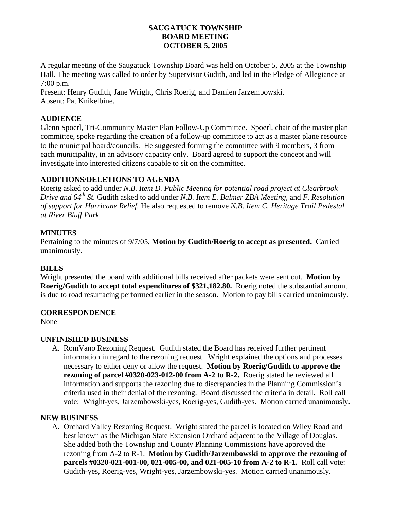### **SAUGATUCK TOWNSHIP BOARD MEETING OCTOBER 5, 2005**

A regular meeting of the Saugatuck Township Board was held on October 5, 2005 at the Township Hall. The meeting was called to order by Supervisor Gudith, and led in the Pledge of Allegiance at 7:00 p.m.

Present: Henry Gudith, Jane Wright, Chris Roerig, and Damien Jarzembowski. Absent: Pat Knikelbine.

## **AUDIENCE**

Glenn Spoerl, Tri-Community Master Plan Follow-Up Committee. Spoerl, chair of the master plan committee, spoke regarding the creation of a follow-up committee to act as a master plane resource to the municipal board/councils. He suggested forming the committee with 9 members, 3 from each municipality, in an advisory capacity only. Board agreed to support the concept and will investigate into interested citizens capable to sit on the committee.

## **ADDITIONS/DELETIONS TO AGENDA**

Roerig asked to add under *N.B. Item D. Public Meeting for potential road project at Clearbrook Drive and 64th St.* Gudith asked to add under *N.B. Item E. Balmer ZBA Meeting,* and *F. Resolution of support for Hurricane Relief.* He also requested to remove *N.B. Item C. Heritage Trail Pedestal at River Bluff Park.* 

# **MINUTES**

Pertaining to the minutes of 9/7/05, **Motion by Gudith/Roerig to accept as presented.** Carried unanimously.

## **BILLS**

Wright presented the board with additional bills received after packets were sent out. **Motion by Roerig/Gudith to accept total expenditures of \$321,182.80.** Roerig noted the substantial amount is due to road resurfacing performed earlier in the season. Motion to pay bills carried unanimously.

## **CORRESPONDENCE**

None

## **UNFINISHED BUSINESS**

A. RomVano Rezoning Request. Gudith stated the Board has received further pertinent information in regard to the rezoning request. Wright explained the options and processes necessary to either deny or allow the request. **Motion by Roerig/Gudith to approve the rezoning of parcel #0320-023-012-00 from A-2 to R-2.** Roerig stated he reviewed all information and supports the rezoning due to discrepancies in the Planning Commission's criteria used in their denial of the rezoning. Board discussed the criteria in detail. Roll call vote: Wright-yes, Jarzembowski-yes, Roerig-yes, Gudith-yes. Motion carried unanimously.

## **NEW BUSINESS**

A. Orchard Valley Rezoning Request. Wright stated the parcel is located on Wiley Road and best known as the Michigan State Extension Orchard adjacent to the Village of Douglas. She added both the Township and County Planning Commissions have approved the rezoning from A-2 to R-1. **Motion by Gudith/Jarzembowski to approve the rezoning of parcels #0320-021-001-00, 021-005-00, and 021-005-10 from A-2 to R-1.** Roll call vote: Gudith-yes, Roerig-yes, Wright-yes, Jarzembowski-yes. Motion carried unanimously.